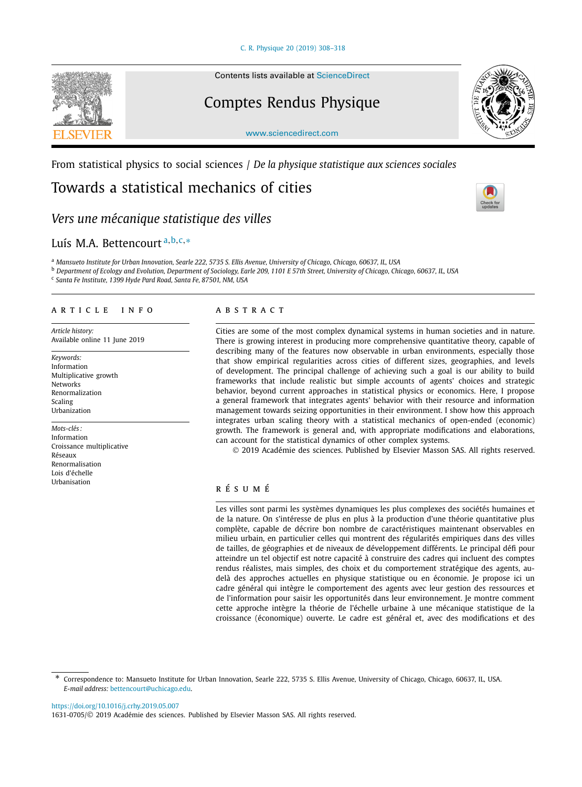Contents lists available at [ScienceDirect](http://www.ScienceDirect.com/)

# Comptes Rendus Physique

[www.sciencedirect.com](http://www.sciencedirect.com)

From statistical physics to social sciences / *De la physique statistique aux sciences sociales*

Towards a statistical mechanics of cities

*Vers une mécanique statistique des villes*

# Luís M.A. Bettencourt <sup>a</sup>*,*b*,*c*,*<sup>∗</sup>

<sup>a</sup> Mansueto Institute for Urban Innovation, Searle 222, 5735 S. Ellis Avenue, University of Chicago, Chicago, 60637, IL, USA <sup>b</sup> Department of Ecology and Evolution, Department of Sociology, Earle 209, 1101 E 57th Street, University of Chicago, Chicago, 60637, IL, USA

<sup>c</sup> *Santa Fe Institute, 1399 Hyde Pard Road, Santa Fe, 87501, NM, USA*

## A R T I C L E I N F O A B S T R A C T

*Article history:* Available online 11 June 2019

*Keywords:* Information Multiplicative growth **Networks** Renormalization Scaling Urbanization

*Mots-clés :* Information Croissance multiplicative Réseaux Renormalisation Lois d'échelle Urbanisation

Cities are some of the most complex dynamical systems in human societies and in nature. There is growing interest in producing more comprehensive quantitative theory, capable of describing many of the features now observable in urban environments, especially those that show empirical regularities across cities of different sizes, geographies, and levels of development. The principal challenge of achieving such a goal is our ability to build frameworks that include realistic but simple accounts of agents' choices and strategic behavior, beyond current approaches in statistical physics or economics. Here, I propose a general framework that integrates agents' behavior with their resource and information management towards seizing opportunities in their environment. I show how this approach integrates urban scaling theory with a statistical mechanics of open-ended (economic) growth. The framework is general and, with appropriate modifications and elaborations, can account for the statistical dynamics of other complex systems.

© 2019 Académie des sciences. Published by Elsevier Masson SAS. All rights reserved.

# r é s u m é

Les villes sont parmi les systèmes dynamiques les plus complexes des sociétés humaines et de la nature. On s'intéresse de plus en plus à la production d'une théorie quantitative plus complète, capable de décrire bon nombre de caractéristiques maintenant observables en milieu urbain, en particulier celles qui montrent des régularités empiriques dans des villes de tailles, de géographies et de niveaux de développement différents. Le principal défi pour atteindre un tel objectif est notre capacité à construire des cadres qui incluent des comptes rendus réalistes, mais simples, des choix et du comportement stratégique des agents, audelà des approches actuelles en physique statistique ou en économie. Je propose ici un cadre général qui intègre le comportement des agents avec leur gestion des ressources et de l'information pour saisir les opportunités dans leur environnement. Je montre comment cette approche intègre la théorie de l'échelle urbaine à une mécanique statistique de la croissance (économique) ouverte. Le cadre est général et, avec des modifications et des

<https://doi.org/10.1016/j.crhy.2019.05.007>







<sup>\*</sup> Correspondence to: Mansueto Institute for Urban Innovation, Searle 222, <sup>5735</sup> S. Ellis Avenue, University of Chicago, Chicago, 60637, IL, USA. *E-mail address:* [bettencourt@uchicago.edu.](mailto:bettencourt@uchicago.edu)

<sup>1631-0705/</sup>© 2019 Académie des sciences. Published by Elsevier Masson SAS. All rights reserved.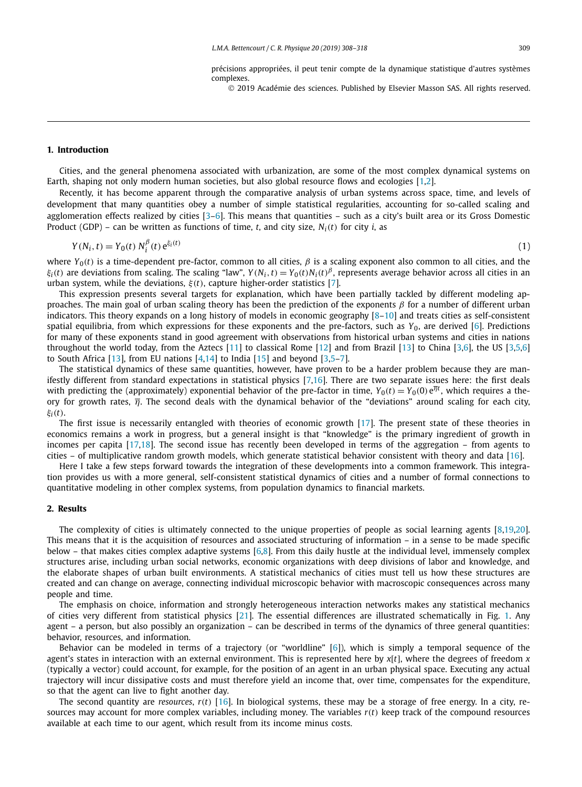© 2019 Académie des sciences. Published by Elsevier Masson SAS. All rights reserved.

### <span id="page-1-0"></span>**1. Introduction**

Cities, and the general phenomena associated with urbanization, are some of the most complex dynamical systems on Earth, shaping not only modern human societies, but also global resource flows and ecologies [\[1,2\]](#page-9-0).

Recently, it has become apparent through the comparative analysis of urban systems across space, time, and levels of development that many quantities obey a number of simple statistical regularities, accounting for so-called scaling and agglomeration effects realized by cities  $[3-6]$ . This means that quantities – such as a city's built area or its Gross Domestic Product (GDP) – can be written as functions of time, *t*, and city size, *Ni(t)* for city *i*, as

$$
Y(N_i, t) = Y_0(t) N_i^{\beta}(t) e^{\xi_i(t)}
$$
\n
$$
(1)
$$

where  $Y_0(t)$  is a time-dependent pre-factor, common to all cities,  $\beta$  is a scaling exponent also common to all cities, and the  $\xi_i(t)$  are deviations from scaling. The scaling "law",  $Y(N_i, t) = Y_0(t)N_i(t)^{\beta}$ , represents average behavior across all cities in an urban system, while the deviations, *ξ(t)*, capture higher-order statistics [\[7\]](#page-9-0).

This expression presents several targets for explanation, which have been partially tackled by different modeling approaches. The main goal of urban scaling theory has been the prediction of the exponents *β* for a number of different urban indicators. This theory expands on a long history of models in economic geography [\[8–10\]](#page-9-0) and treats cities as self-consistent spatial equilibria, from which expressions for these exponents and the pre-factors, such as *Y*0, are derived [\[6\]](#page-9-0). Predictions for many of these exponents stand in good agreement with observations from historical urban systems and cities in nations throughout the world today, from the Aztecs  $[11]$  to classical Rome  $[12]$  and from Brazil  $[13]$  to China  $[3,6]$ , the US  $[3,5,6]$ to South Africa [\[13\]](#page-9-0), from EU nations  $[4,14]$  to India [\[15\]](#page-9-0) and beyond [\[3,5–7\]](#page-9-0).

The statistical dynamics of these same quantities, however, have proven to be a harder problem because they are manifestly different from standard expectations in statistical physics [\[7,16\]](#page-9-0). There are two separate issues here: the first deals with predicting the (approximately) exponential behavior of the pre-factor in time,  $Y_0(t) = Y_0(0) e^{\overline{\eta}t}$ , which requires a theory for growth rates, *η*. The second deals with the dynamical behavior of the "deviations" around scaling for each city, *ξi(t)*.

The first issue is necessarily entangled with theories of economic growth [\[17\]](#page-9-0). The present state of these theories in economics remains a work in progress, but a general insight is that "knowledge" is the primary ingredient of growth in incomes per capita [\[17,18\]](#page-9-0). The second issue has recently been developed in terms of the aggregation – from agents to cities – of multiplicative random growth models, which generate statistical behavior consistent with theory and data [\[16\]](#page-9-0).

Here I take a few steps forward towards the integration of these developments into a common framework. This integration provides us with a more general, self-consistent statistical dynamics of cities and a number of formal connections to quantitative modeling in other complex systems, from population dynamics to financial markets.

### **2. Results**

The complexity of cities is ultimately connected to the unique properties of people as social learning agents [\[8,19,20\]](#page-9-0). This means that it is the acquisition of resources and associated structuring of information – in a sense to be made specific below – that makes cities complex adaptive systems  $[6,8]$ . From this daily hustle at the individual level, immensely complex structures arise, including urban social networks, economic organizations with deep divisions of labor and knowledge, and the elaborate shapes of urban built environments. A statistical mechanics of cities must tell us how these structures are created and can change on average, connecting individual microscopic behavior with macroscopic consequences across many people and time.

The emphasis on choice, information and strongly heterogeneous interaction networks makes any statistical mechanics of cities very different from statistical physics [\[21\]](#page-9-0). The essential differences are illustrated schematically in Fig. [1.](#page-2-0) Any agent – a person, but also possibly an organization – can be described in terms of the dynamics of three general quantities: behavior, resources, and information.

Behavior can be modeled in terms of a trajectory (or "worldline" [\[6\]](#page-9-0)), which is simply a temporal sequence of the agent's states in interaction with an external environment. This is represented here by *x*[*t*], where the degrees of freedom *x* (typically a vector) could account, for example, for the position of an agent in an urban physical space. Executing any actual trajectory will incur dissipative costs and must therefore yield an income that, over time, compensates for the expenditure, so that the agent can live to fight another day.

The second quantity are *resources*, *r(t)* [\[16\]](#page-9-0). In biological systems, these may be a storage of free energy. In a city, resources may account for more complex variables, including money. The variables *r(t)* keep track of the compound resources available at each time to our agent, which result from its income minus costs.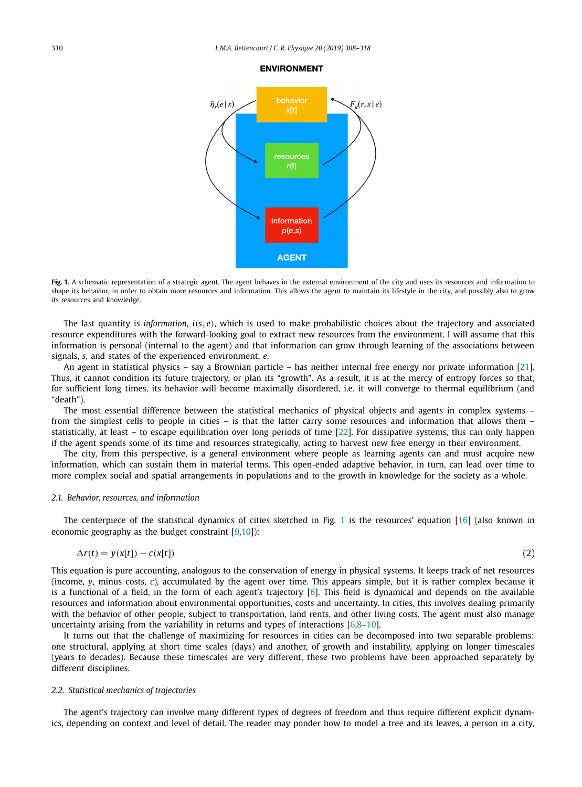#### **ENVIRONMENT**

<span id="page-2-0"></span>

Fig. 1. A schematic representation of a strategic agent. The agent behaves in the external environment of the city and uses its resources and information to shape its behavior, in order to obtain more resources and information. This allows the agent to maintain its lifestyle in the city, and possibly also to grow its resources and knowledge.

The last quantity is *information*, *i(s, e)*, which is used to make probabilistic choices about the trajectory and associated resource expenditures with the forward-looking goal to extract new resources from the environment. I will assume that this information is personal (internal to the agent) and that information can grow through learning of the associations between signals, *s*, and states of the experienced environment, *e*.

An agent in statistical physics – say a Brownian particle – has neither internal free energy nor private information [\[21\]](#page-9-0). Thus, it cannot condition its future trajectory, or plan its "growth". As a result, it is at the mercy of entropy forces so that, for sufficient long times, its behavior will become maximally disordered, i.e. it will converge to thermal equilibrium (and "death").

The most essential difference between the statistical mechanics of physical objects and agents in complex systems – from the simplest cells to people in cities – is that the latter carry some resources and information that allows them – statistically, at least – to escape equilibration over long periods of time [\[22\]](#page-9-0). For dissipative systems, this can only happen if the agent spends some of its time and resources strategically, acting to harvest new free energy in their environment.

The city, from this perspective, is a general environment where people as learning agents can and must acquire new information, which can sustain them in material terms. This open-ended adaptive behavior, in turn, can lead over time to more complex social and spatial arrangements in populations and to the growth in knowledge for the society as a whole.

#### *2.1. Behavior, resources, and information*

The centerpiece of the statistical dynamics of cities sketched in Fig. 1 is the resources' equation [\[16\]](#page-9-0) (also known in economic geography as the budget constraint [\[9,10\]](#page-9-0)):

$$
\Delta r(t) = y(x[t]) - c(x[t]) \tag{2}
$$

This equation is pure accounting, analogous to the conservation of energy in physical systems. It keeps track of net resources (income, *y*, minus costs, *c*), accumulated by the agent over time. This appears simple, but it is rather complex because it is a functional of a field, in the form of each agent's trajectory [\[6\]](#page-9-0). This field is dynamical and depends on the available resources and information about environmental opportunities, costs and uncertainty. In cities, this involves dealing primarily with the behavior of other people, subject to transportation, land rents, and other living costs. The agent must also manage uncertainty arising from the variability in returns and types of interactions  $[6,8-10]$ .

It turns out that the challenge of maximizing for resources in cities can be decomposed into two separable problems: one structural, applying at short time scales (days) and another, of growth and instability, applying on longer timescales (years to decades). Because these timescales are very different, these two problems have been approached separately by different disciplines.

#### *2.2. Statistical mechanics of trajectories*

The agent's trajectory can involve many different types of degrees of freedom and thus require different explicit dynamics, depending on context and level of detail. The reader may ponder how to model a tree and its leaves, a person in a city,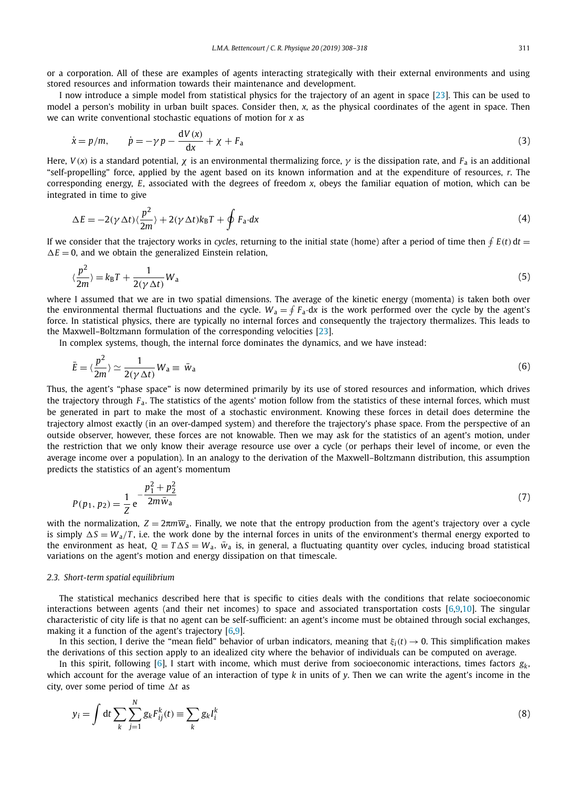<span id="page-3-0"></span>or a corporation. All of these are examples of agents interacting strategically with their external environments and using stored resources and information towards their maintenance and development.

I now introduce a simple model from statistical physics for the trajectory of an agent in space [\[23\]](#page-9-0). This can be used to model a person's mobility in urban built spaces. Consider then, *x*, as the physical coordinates of the agent in space. Then we can write conventional stochastic equations of motion for *x* as

$$
\dot{x} = p/m, \qquad \dot{p} = -\gamma p - \frac{dV(x)}{dx} + \chi + F_a \tag{3}
$$

Here,  $V(x)$  is a standard potential,  $\chi$  is an environmental thermalizing force,  $\gamma$  is the dissipation rate, and  $F_a$  is an additional "self-propelling" force, applied by the agent based on its known information and at the expenditure of resources, *r*. The corresponding energy, *E*, associated with the degrees of freedom *x*, obeys the familiar equation of motion, which can be integrated in time to give

$$
\Delta E = -2(\gamma \Delta t)(\frac{p^2}{2m}) + 2(\gamma \Delta t)k_B T + \oint F_a \cdot dx \tag{4}
$$

If we consider that the trajectory works in *cycles*, returning to the initial state (home) after a period of time then  $\oint E(t) dt =$  $\Delta E = 0$ , and we obtain the generalized Einstein relation,

$$
\langle \frac{p^2}{2m} \rangle = k_B T + \frac{1}{2(\gamma \Delta t)} W_a \tag{5}
$$

where I assumed that we are in two spatial dimensions. The average of the kinetic energy (momenta) is taken both over the environmental thermal fluctuations and the cycle.  $W_a = \oint F_a dx$  is the work performed over the cycle by the agent's force. In statistical physics, there are typically no internal forces and consequently the trajectory thermalizes. This leads to the Maxwell–Boltzmann formulation of the corresponding velocities [\[23\]](#page-9-0).

In complex systems, though, the internal force dominates the dynamics, and we have instead:

$$
\bar{E} = \langle \frac{p^2}{2m} \rangle \simeq \frac{1}{2(\gamma \Delta t)} W_a \equiv \bar{w}_a \tag{6}
$$

Thus, the agent's "phase space" is now determined primarily by its use of stored resources and information, which drives the trajectory through *F*a. The statistics of the agents' motion follow from the statistics of these internal forces, which must be generated in part to make the most of a stochastic environment. Knowing these forces in detail does determine the trajectory almost exactly (in an over-damped system) and therefore the trajectory's phase space. From the perspective of an outside observer, however, these forces are not knowable. Then we may ask for the statistics of an agent's motion, under the restriction that we only know their average resource use over a cycle (or perhaps their level of income, or even the average income over a population). In an analogy to the derivation of the Maxwell–Boltzmann distribution, this assumption predicts the statistics of an agent's momentum

$$
P(p_1, p_2) = \frac{1}{Z} e^{-\frac{p_1^2 + p_2^2}{2m\bar{w}_a}}
$$
\n(7)

with the normalization,  $Z = 2\pi m\overline{w}_a$ . Finally, we note that the entropy production from the agent's trajectory over a cycle is simply  $\Delta S = W_a/T$ , i.e. the work done by the internal forces in units of the environment's thermal energy exported to the environment as heat,  $Q = T\Delta S = W_a$ .  $\bar{w}_a$  is, in general, a fluctuating quantity over cycles, inducing broad statistical variations on the agent's motion and energy dissipation on that timescale.

#### *2.3. Short-term spatial equilibrium*

The statistical mechanics described here that is specific to cities deals with the conditions that relate socioeconomic interactions between agents (and their net incomes) to space and associated transportation costs [\[6,9,10\]](#page-9-0). The singular characteristic of city life is that no agent can be self-sufficient: an agent's income must be obtained through social exchanges, making it a function of the agent's trajectory [\[6,9\]](#page-9-0).

In this section, I derive the "mean field" behavior of urban indicators, meaning that  $\xi_i(t) \to 0$ . This simplification makes the derivations of this section apply to an idealized city where the behavior of individuals can be computed on average.

In this spirit, following [\[6\]](#page-9-0), I start with income, which must derive from socioeconomic interactions, times factors  $g_k$ , which account for the average value of an interaction of type *k* in units of *y*. Then we can write the agent's income in the city, over some period of time  $\Delta t$  as

$$
y_i = \int dt \sum_k \sum_{j=1}^N g_k F_{ij}^k(t) \equiv \sum_k g_k I_i^k \tag{8}
$$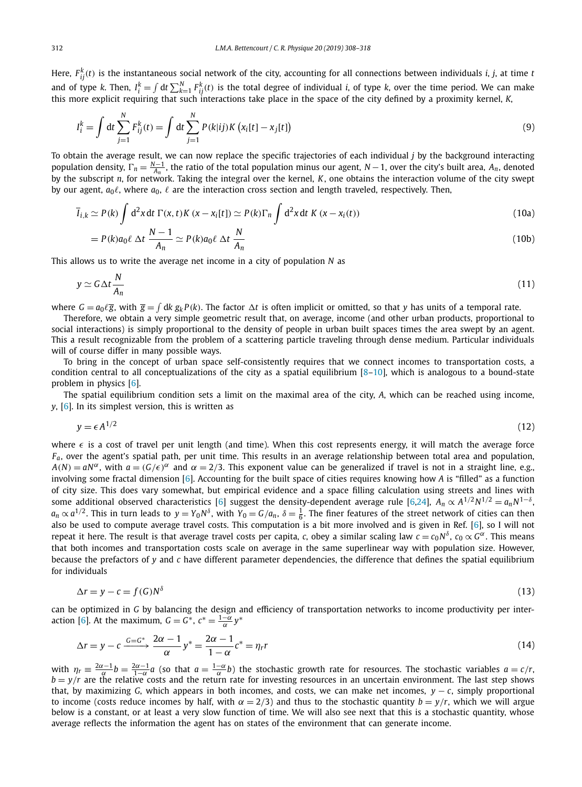<span id="page-4-0"></span>Here,  $F_{ij}^k(t)$  is the instantaneous social network of the city, accounting for all connections between individuals *i*, *j*, at time *t* and of type k. Then,  $I_i^k = \int dt \sum_{k=1}^N F_{ij}^k(t)$  is the total degree of individual i, of type k, over the time period. We can make this more explicit requiring that such interactions take place in the space of the city defined by a proximity kernel, *K*,

$$
I_i^k = \int dt \sum_{j=1}^N F_{ij}^k(t) = \int dt \sum_{j=1}^N P(k|ij) K(x_i[t] - x_j[t])
$$
\n(9)

To obtain the average result, we can now replace the specific trajectories of each individual *j* by the background interacting population density,  $\Gamma_n = \frac{N-1}{A_n}$ , the ratio of the total population minus our agent, *N* − 1, over the city's built area, *A<sub>n</sub>*, denoted by the subscript *n*, for network. Taking the integral over the kernel, *K*, one obtains the interaction volume of the city swept by our agent,  $a_0\ell$ , where  $a_0$ ,  $\ell$  are the interaction cross section and length traveled, respectively. Then,

$$
\overline{I}_{i,k} \simeq P(k) \int d^2x dt \ \Gamma(x,t) K(x-x_i[t]) \simeq P(k) \Gamma_n \int d^2x dt \ K(x-x_i(t)) \tag{10a}
$$

$$
= P(k)a_0\ell \Delta t \frac{N-1}{A_n} \simeq P(k)a_0\ell \Delta t \frac{N}{A_n}
$$
 (10b)

This allows us to write the average net income in a city of population *N* as

$$
y \simeq G \Delta t \frac{N}{A_n} \tag{11}
$$

where  $G = a_0 \ell \overline{g}$ , with  $\overline{g} = \int dk g_k P(k)$ . The factor  $\Delta t$  is often implicit or omitted, so that *y* has units of a temporal rate.

Therefore, we obtain a very simple geometric result that, on average, income (and other urban products, proportional to social interactions) is simply proportional to the density of people in urban built spaces times the area swept by an agent. This a result recognizable from the problem of a scattering particle traveling through dense medium. Particular individuals will of course differ in many possible ways.

To bring in the concept of urban space self-consistently requires that we connect incomes to transportation costs, a condition central to all conceptualizations of the city as a spatial equilibrium  $[8-10]$ , which is analogous to a bound-state problem in physics [\[6\]](#page-9-0).

The spatial equilibrium condition sets a limit on the maximal area of the city, *A*, which can be reached using income, *y*, [\[6\]](#page-9-0). In its simplest version, this is written as

$$
y = \epsilon A^{1/2} \tag{12}
$$

where  $\epsilon$  is a cost of travel per unit length (and time). When this cost represents energy, it will match the average force *Fa*, over the agent's spatial path, per unit time. This results in an average relationship between total area and population,  $A(N) = aN^{\alpha}$ , with  $a = (G/\epsilon)^{\alpha}$  and  $\alpha = 2/3$ . This exponent value can be generalized if travel is not in a straight line, e.g., involving some fractal dimension [\[6\]](#page-9-0). Accounting for the built space of cities requires knowing how *A* is "filled" as a function of city size. This does vary somewhat, but empirical evidence and a space filling calculation using streets and lines with some additional observed characteristics [\[6\]](#page-9-0) suggest the density-dependent average rule [\[6,24\]](#page-9-0),  $A_n \propto A^{1/2} N^{1/2} = a_n N^{1-\delta}$ ,  $a_n \propto a^{1/2}$ . This in turn leads to  $y = Y_0 N^{\delta}$ , with  $Y_0 = G/a_n$ ,  $\delta = \frac{1}{6}$ . The finer features of the street network of cities can then also be used to compute average travel costs. This computation is a bit more involved and is given in Ref. [\[6\]](#page-9-0), so I will not repeat it here. The result is that average travel costs per capita, *c*, obey a similar scaling law  $c = c_0 N^{\delta}$ ,  $c_0 \propto G^{\alpha}$ . This means that both incomes and transportation costs scale on average in the same superlinear way with population size. However, because the prefactors of *y* and *c* have different parameter dependencies, the difference that defines the spatial equilibrium for individuals

$$
\Delta r = y - c = f(G)N^{\delta} \tag{13}
$$

can be optimized in *G* by balancing the design and efficiency of transportation networks to income productivity per inter-action [\[6\]](#page-9-0). At the maximum,  $G = G^*$ ,  $c^* = \frac{1-\alpha}{\alpha} y^*$ 

$$
\Delta r = y - c \xrightarrow{G = G^*} \frac{2\alpha - 1}{\alpha} y^* = \frac{2\alpha - 1}{1 - \alpha} c^* = \eta_r r \tag{14}
$$

with  $\eta_r = \frac{2\alpha - 1}{\alpha} b = \frac{2\alpha - 1}{1 - \alpha} a$  (so that  $a = \frac{1 - \alpha}{\alpha} b$ ) the stochastic growth rate for resources. The stochastic variables  $a = c/r$ ,  $b = y/r$  are the relative costs and the return rate for investing resources in an uncertain environment. The last step shows that, by maximizing *G*, which appears in both incomes, and costs, we can make net incomes, *y* − *c*, simply proportional to income (costs reduce incomes by half, with  $\alpha = 2/3$ ) and thus to the stochastic quantity  $b = \gamma/r$ , which we will argue below is a constant, or at least a very slow function of time. We will also see next that this is a stochastic quantity, whose average reflects the information the agent has on states of the environment that can generate income.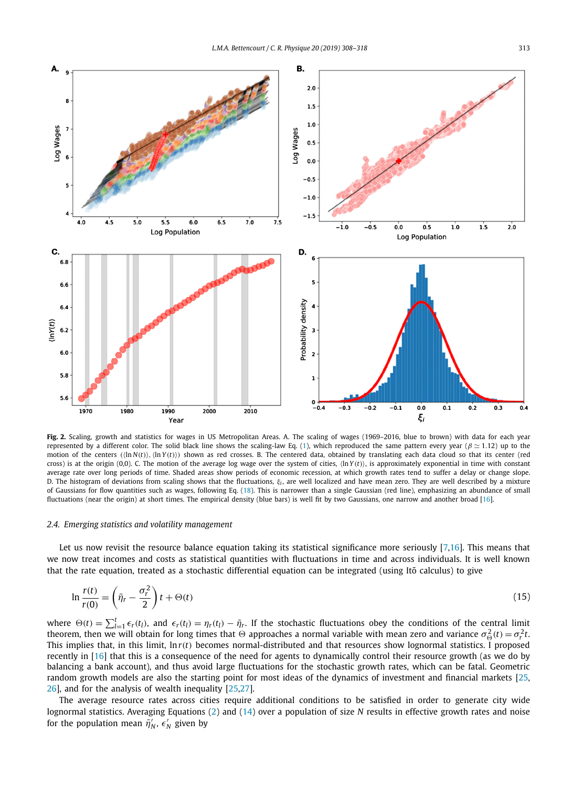<span id="page-5-0"></span>

Fig. 2. Scaling, growth and statistics for wages in US Metropolitan Areas. A. The scaling of wages (1969–2016, blue to brown) with data for each year represented by a different color. The solid black line shows the scaling-law Eq. [\(1\)](#page-1-0), which reproduced the same pattern every year ( $\beta \simeq 1.12$ ) up to the motion of the centers  $(\ln N(t)), (\ln Y(t))$  shown as red crosses. B. The centered data, obtained by translating each data cloud so that its center (red cross) is at the origin (0,0). C. The motion of the average log wage over the system of cities,  $\langle \ln Y(t) \rangle$ , is approximately exponential in time with constant average rate over long periods of time. Shaded areas show periods of economic recession, at which growth rates tend to suffer a delay or change slope. D. The histogram of deviations from scaling shows that the fluctuations, *ξ<sup>i</sup>* , are well localized and have mean zero. They are well described by a mixture of Gaussians for flow quantities such as wages, following Eq. [\(18\)](#page-6-0). This is narrower than a single Gaussian (red line), emphasizing an abundance of small fluctuations (near the origin) at short times. The empirical density (blue bars) is well fit by two Gaussians, one narrow and another broad [\[16\]](#page-9-0).

#### *2.4. Emerging statistics and volatility management*

Let us now revisit the resource balance equation taking its statistical significance more seriously [\[7,16\]](#page-9-0). This means that we now treat incomes and costs as statistical quantities with fluctuations in time and across individuals. It is well known that the rate equation, treated as a stochastic differential equation can be integrated (using Itō calculus) to give

$$
\ln \frac{r(t)}{r(0)} = \left(\bar{\eta}_r - \frac{\sigma_r^2}{2}\right)t + \Theta(t) \tag{15}
$$

where  $\Theta(t) = \sum_{l=1}^{t} \epsilon_r(t_l)$ , and  $\epsilon_r(t_l) = \eta_r(t_l) - \bar{\eta}_r$ . If the stochastic fluctuations obey the conditions of the central limit theorem, then we will obtain for long times that  $\Theta$  approaches a normal variable with mean zero and variance  $\sigma_{\Theta}^2(t) = \sigma_r^2 t$ . This implies that, in this limit, ln*r(t)* becomes normal-distributed and that resources show lognormal statistics. I proposed recently in [\[16\]](#page-9-0) that this is a consequence of the need for agents to dynamically control their resource growth (as we do by balancing a bank account), and thus avoid large fluctuations for the stochastic growth rates, which can be fatal. Geometric random growth models are also the starting point for most ideas of the dynamics of investment and financial markets [\[25,](#page-9-0) [26\]](#page-9-0), and for the analysis of wealth inequality [\[25,27\]](#page-9-0).

The average resource rates across cities require additional conditions to be satisfied in order to generate city wide lognormal statistics. Averaging Equations [\(2\)](#page-2-0) and [\(14\)](#page-4-0) over a population of size *N* results in effective growth rates and noise for the population mean  $\bar{\eta}'_N$ ,  $\epsilon'_N$  given by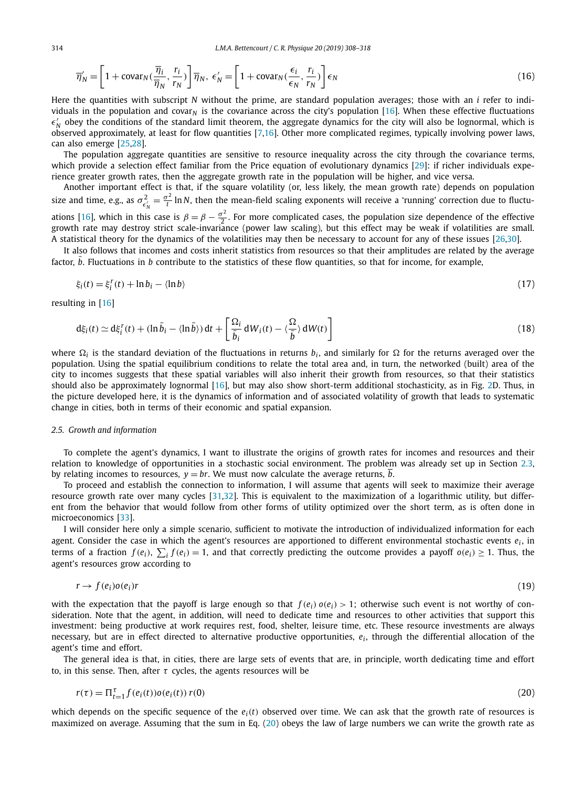<span id="page-6-0"></span>
$$
\overline{\eta}'_{N} = \left[1 + \text{covar}_{N}\left(\frac{\overline{\eta}_{i}}{\overline{\eta}_{N}}, \frac{r_{i}}{r_{N}}\right)\right] \overline{\eta}_{N}, \ \epsilon'_{N} = \left[1 + \text{covar}_{N}\left(\frac{\epsilon_{i}}{\epsilon_{N}}, \frac{r_{i}}{r_{N}}\right)\right] \epsilon_{N} \tag{16}
$$

Here the quantities with subscript *N* without the prime, are standard population averages; those with an *i* refer to indi-viduals in the population and covar<sub>N</sub> is the covariance across the city's population [\[16\]](#page-9-0). When these effective fluctuations  $\epsilon'_{N}$  obey the conditions of the standard limit theorem, the aggregate dynamics for the city will also be lognormal, which is observed approximately, at least for flow quantities [\[7,16\]](#page-9-0). Other more complicated regimes, typically involving power laws, can also emerge [\[25,28\]](#page-9-0).

The population aggregate quantities are sensitive to resource inequality across the city through the covariance terms, which provide a selection effect familiar from the Price equation of evolutionary dynamics [\[29\]](#page-9-0): if richer individuals experience greater growth rates, then the aggregate growth rate in the population will be higher, and vice versa.

Another important effect is that, if the square volatility (or, less likely, the mean growth rate) depends on population size and time, e.g., as  $\sigma_{\epsilon_N}^2 = \frac{\sigma^2}{t} \ln N$ , then the mean-field scaling exponents will receive a 'running' correction due to fluctu-ations [\[16\]](#page-9-0), which in this case is  $\beta = \beta - \frac{\sigma^2}{2}$ . For more complicated cases, the population size dependence of the effective growth rate may destroy strict scale-invariance (power law scaling), but this effect may be weak if volatilities are small. A statistical theory for the dynamics of the volatilities may then be necessary to account for any of these issues [\[26,30\]](#page-9-0).

It also follows that incomes and costs inherit statistics from resources so that their amplitudes are related by the average factor, b. Fluctuations in *b* contribute to the statistics of these flow quantities, so that for income, for example,

$$
\xi_i(t) = \xi_i^r(t) + \ln b_i - \langle \ln b \rangle \tag{17}
$$

resulting in [\[16\]](#page-9-0)

$$
d\xi_i(t) \simeq d\xi_i^r(t) + (\ln \bar{b}_i - \langle \ln \bar{b} \rangle) dt + \left[ \frac{\Omega_i}{\bar{b}_i} dW_i(t) - \langle \frac{\Omega}{\bar{b}} \rangle dW(t) \right]
$$
(18)

where  $\Omega_i$  is the standard deviation of the fluctuations in returns  $b_i$ , and similarly for  $\Omega$  for the returns averaged over the population. Using the spatial equilibrium conditions to relate the total area and, in turn, the networked (built) area of the city to incomes suggests that these spatial variables will also inherit their growth from resources, so that their statistics should also be approximately lognormal [\[16\]](#page-9-0), but may also show short-term additional stochasticity, as in Fig. [2D](#page-5-0). Thus, in the picture developed here, it is the dynamics of information and of associated volatility of growth that leads to systematic change in cities, both in terms of their economic and spatial expansion.

#### *2.5. Growth and information*

To complete the agent's dynamics, I want to illustrate the origins of growth rates for incomes and resources and their relation to knowledge of opportunities in a stochastic social environment. The problem was already set up in Section [2.3,](#page-3-0) by relating incomes to resources,  $y = br$ . We must now calculate the average returns, *b*.

To proceed and establish the connection to information, I will assume that agents will seek to maximize their average resource growth rate over many cycles [\[31,32\]](#page-9-0). This is equivalent to the maximization of a logarithmic utility, but different from the behavior that would follow from other forms of utility optimized over the short term, as is often done in microeconomics [\[33\]](#page-9-0).

I will consider here only a simple scenario, sufficient to motivate the introduction of individualized information for each agent. Consider the case in which the agent's resources are apportioned to different environmental stochastic events  $e_i$ , in terms of a fraction  $f(e_i)$ ,  $\sum_i f(e_i) = 1$ , and that correctly predicting the outcome provides a payoff  $o(e_i) \ge 1$ . Thus, the agent's resources grow according to

$$
r \to f(e_i) o(e_i) r \tag{19}
$$

with the expectation that the payoff is large enough so that  $f(e_i) o(e_i) > 1$ ; otherwise such event is not worthy of consideration. Note that the agent, in addition, will need to dedicate time and resources to other activities that support this investment: being productive at work requires rest, food, shelter, leisure time, etc. These resource investments are always necessary, but are in effect directed to alternative productive opportunities, *ei*, through the differential allocation of the agent's time and effort.

The general idea is that, in cities, there are large sets of events that are, in principle, worth dedicating time and effort to, in this sense. Then, after *τ* cycles, the agents resources will be

$$
r(\tau) = \Pi_{t=1}^{\tau} f(e_i(t)) o(e_i(t)) r(0)
$$
\n
$$
(20)
$$

which depends on the specific sequence of the  $e_i(t)$  observed over time. We can ask that the growth rate of resources is maximized on average. Assuming that the sum in Eq. (20) obeys the law of large numbers we can write the growth rate as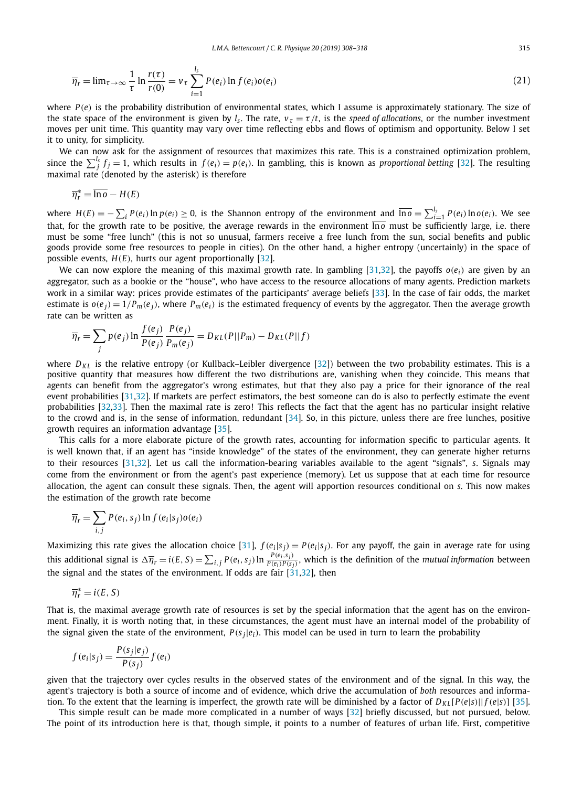$$
\overline{\eta}_r = \lim_{\tau \to \infty} \frac{1}{\tau} \ln \frac{r(\tau)}{r(0)} = v_\tau \sum_{i=1}^{l_s} P(e_i) \ln f(e_i) o(e_i)
$$
\n(21)

where  $P(e)$  is the probability distribution of environmental states, which I assume is approximately stationary. The size of the state space of the environment is given by  $l_s$ . The rate,  $v_\tau = \tau / t$ , is the *speed* of *allocations*, or the number investment moves per unit time. This quantity may vary over time reflecting ebbs and flows of optimism and opportunity. Below I set it to unity, for simplicity.

We can now ask for the assignment of resources that maximizes this rate. This is a constrained optimization problem, since the  $\sum_j^{l_s} f_j = 1$ , which results in  $f(e_i) = p(e_i)$ . In gambling, this is known as proportional betting [\[32\]](#page-9-0). The resulting maximal rate (denoted by the asterisk) is therefore

$$
\overline{\eta}_r^* = \overline{\ln o} - H(E)
$$

where  $H(E) = -\sum_i P(e_i) \ln p(e_i) \ge 0$ , is the Shannon entropy of the environment and  $\overline{p} = \sum_{i=1}^{l_s} P(e_i) \ln o(e_i)$ . We see that, for the growth rate to be positive, the average rewards in the environment  $\overline{ln}$  must be sufficiently large, i.e. there must be some "free lunch" (this is not so unusual, farmers receive a free lunch from the sun, social benefits and public goods provide some free resources to people in cities). On the other hand, a higher entropy (uncertainly) in the space of possible events, *H(E)*, hurts our agent proportionally [\[32\]](#page-9-0).

We can now explore the meaning of this maximal growth rate. In gambling [\[31,32\]](#page-9-0), the payoffs *o(ei)* are given by an aggregator, such as a bookie or the "house", who have access to the resource allocations of many agents. Prediction markets work in a similar way: prices provide estimates of the participants' average beliefs [\[33\]](#page-9-0). In the case of fair odds, the market estimate is  $o(e_i) = 1/P_m(e_i)$ , where  $P_m(e_i)$  is the estimated frequency of events by the aggregator. Then the average growth rate can be written as

$$
\overline{\eta}_r = \sum_j p(e_j) \ln \frac{f(e_j)}{P(e_j)} \frac{P(e_j)}{P_m(e_j)} = D_{KL}(P||P_m) - D_{KL}(P||f)
$$

where  $D_{KL}$  is the relative entropy (or Kullback–Leibler divergence [\[32\]](#page-9-0)) between the two probability estimates. This is a positive quantity that measures how different the two distributions are, vanishing when they coincide. This means that agents can benefit from the aggregator's wrong estimates, but that they also pay a price for their ignorance of the real event probabilities [\[31,32\]](#page-9-0). If markets are perfect estimators, the best someone can do is also to perfectly estimate the event probabilities [\[32,33\]](#page-9-0). Then the maximal rate is zero! This reflects the fact that the agent has no particular insight relative to the crowd and is, in the sense of information, redundant  $[34]$ . So, in this picture, unless there are free lunches, positive growth requires an information advantage [\[35\]](#page-10-0).

This calls for a more elaborate picture of the growth rates, accounting for information specific to particular agents. It is well known that, if an agent has "inside knowledge" of the states of the environment, they can generate higher returns to their resources [\[31,32\]](#page-9-0). Let us call the information-bearing variables available to the agent "signals", *s*. Signals may come from the environment or from the agent's past experience (memory). Let us suppose that at each time for resource allocation, the agent can consult these signals. Then, the agent will apportion resources conditional on *s*. This now makes the estimation of the growth rate become

$$
\overline{\eta}_r = \sum_{i,j} P(e_i, s_j) \ln f(e_i|s_j) o(e_i)
$$

Maximizing this rate gives the allocation choice [\[31\]](#page-9-0),  $f(e_i|s_i) = P(e_i|s_i)$ . For any payoff, the gain in average rate for using this additional signal is  $\Delta \overline{\eta}_r = i(E, S) = \sum_{i,j} P(e_i, s_j) \ln \frac{P(e_i, s_j)}{P(e_i)P(s_j)}$ , which is the definition of the *mutual information* between the signal and the states of the environment. If odds are fair  $\left[31,32\right]$ , then

 $\overline{\eta}_r^* = i(E, S)$ 

That is, the maximal average growth rate of resources is set by the special information that the agent has on the environment. Finally, it is worth noting that, in these circumstances, the agent must have an internal model of the probability of the signal given the state of the environment,  $P(s_i|e_i)$ . This model can be used in turn to learn the probability

$$
f(e_i|s_j) = \frac{P(s_j|e_j)}{P(s_j)} f(e_i)
$$

given that the trajectory over cycles results in the observed states of the environment and of the signal. In this way, the agent's trajectory is both a source of income and of evidence, which drive the accumulation of *both* resources and information. To the extent that the learning is imperfect, the growth rate will be diminished by a factor of  $D_{KL}[P(e|s)|[f(e|s)]$  [\[35\]](#page-10-0).

This simple result can be made more complicated in a number of ways [\[32\]](#page-9-0) briefly discussed, but not pursued, below. The point of its introduction here is that, though simple, it points to a number of features of urban life. First, competitive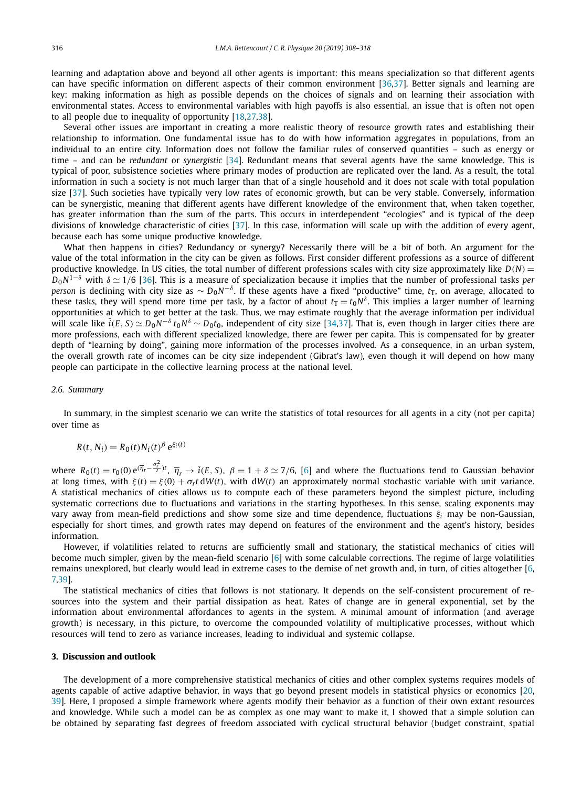learning and adaptation above and beyond all other agents is important: this means specialization so that different agents can have specific information on different aspects of their common environment [\[36,37\]](#page-10-0). Better signals and learning are key: making information as high as possible depends on the choices of signals and on learning their association with environmental states. Access to environmental variables with high payoffs is also essential, an issue that is often not open to all people due to inequality of opportunity [\[18,27,](#page-9-0)[38\]](#page-10-0).

Several other issues are important in creating a more realistic theory of resource growth rates and establishing their relationship to information. One fundamental issue has to do with how information aggregates in populations, from an individual to an entire city. Information does not follow the familiar rules of conserved quantities – such as energy or time – and can be *redundant* or *synergistic* [\[34\]](#page-9-0). Redundant means that several agents have the same knowledge. This is typical of poor, subsistence societies where primary modes of production are replicated over the land. As a result, the total information in such a society is not much larger than that of a single household and it does not scale with total population size [\[37\]](#page-10-0). Such societies have typically very low rates of economic growth, but can be very stable. Conversely, information can be synergistic, meaning that different agents have different knowledge of the environment that, when taken together, has greater information than the sum of the parts. This occurs in interdependent "ecologies" and is typical of the deep divisions of knowledge characteristic of cities [\[37\]](#page-10-0). In this case, information will scale up with the addition of every agent, because each has some unique productive knowledge.

What then happens in cities? Redundancy or synergy? Necessarily there will be a bit of both. An argument for the value of the total information in the city can be given as follows. First consider different professions as a source of different productive knowledge. In US cities, the total number of different professions scales with city size approximately like  $D(N)$  = *<sup>D</sup>*0*N*1−*<sup>δ</sup>* with *<sup>δ</sup>* <sup>1</sup>*/*6 [\[36\]](#page-10-0). This is <sup>a</sup> measure of specialization because it implies that the number of professional tasks *per person* is declining with city size as  $\sim D_0 N^{-\delta}$ . If these agents have a fixed "productive" time,  $t_T$ , on average, allocated to these tasks, they will spend more time per task, by a factor of about  $t_T = t_0 N^{\delta}$ . This implies a larger number of learning opportunities at which to get better at the task. Thus, we may estimate roughly that the average information per individual will scale like  $i(E, S) \simeq D_0 N^{-\delta} t_0 N^{\delta} \sim D_0 t_0$ , independent of city size [\[34](#page-9-0)[,37\]](#page-10-0). That is, even though in larger cities there are more professions, each with different specialized knowledge, there are fewer per capita. This is compensated for by greater depth of "learning by doing", gaining more information of the processes involved. As a consequence, in an urban system, the overall growth rate of incomes can be city size independent (Gibrat's law), even though it will depend on how many people can participate in the collective learning process at the national level.

#### *2.6. Summary*

In summary, in the simplest scenario we can write the statistics of total resources for all agents in a city (not per capita) over time as

$$
R(t, N_i) = R_0(t) N_i(t)^{\beta} e^{\xi_i(t)}
$$

where  $R_0(t) = r_0(0)e^{(\overline{\eta}_r - \frac{\sigma_r^2}{2})t}$ ,  $\overline{\eta}_r \to \overline{i}(E, S)$ ,  $\beta = 1 + \delta \simeq 7/6$ , [\[6\]](#page-9-0) and where the fluctuations tend to Gaussian behavior at long times, with  $\xi(t) = \xi(0) + \sigma_r t \, dW(t)$ , with  $dW(t)$  an approximately normal stochastic variable with unit variance. A statistical mechanics of cities allows us to compute each of these parameters beyond the simplest picture, including systematic corrections due to fluctuations and variations in the starting hypotheses. In this sense, scaling exponents may vary away from mean-field predictions and show some size and time dependence, fluctuations *ξ<sup>i</sup>* may be non-Gaussian, especially for short times, and growth rates may depend on features of the environment and the agent's history, besides information.

However, if volatilities related to returns are sufficiently small and stationary, the statistical mechanics of cities will become much simpler, given by the mean-field scenario [\[6\]](#page-9-0) with some calculable corrections. The regime of large volatilities remains unexplored, but clearly would lead in extreme cases to the demise of net growth and, in turn, of cities altogether [\[6,](#page-9-0) [7,](#page-9-0)[39\]](#page-10-0).

The statistical mechanics of cities that follows is not stationary. It depends on the self-consistent procurement of resources into the system and their partial dissipation as heat. Rates of change are in general exponential, set by the information about environmental affordances to agents in the system. A minimal amount of information (and average growth) is necessary, in this picture, to overcome the compounded volatility of multiplicative processes, without which resources will tend to zero as variance increases, leading to individual and systemic collapse.

#### **3. Discussion and outlook**

The development of a more comprehensive statistical mechanics of cities and other complex systems requires models of agents capable of active adaptive behavior, in ways that go beyond present models in statistical physics or economics [\[20,](#page-9-0) [39\]](#page-10-0). Here, I proposed a simple framework where agents modify their behavior as a function of their own extant resources and knowledge. While such a model can be as complex as one may want to make it, I showed that a simple solution can be obtained by separating fast degrees of freedom associated with cyclical structural behavior (budget constraint, spatial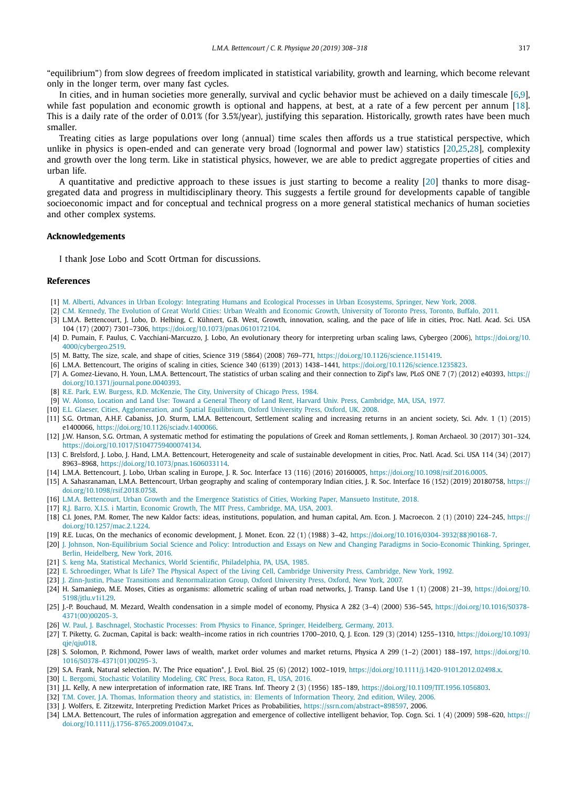<span id="page-9-0"></span>"equilibrium") from slow degrees of freedom implicated in statistical variability, growth and learning, which become relevant only in the longer term, over many fast cycles.

In cities, and in human societies more generally, survival and cyclic behavior must be achieved on a daily timescale [6,9], while fast population and economic growth is optional and happens, at best, at a rate of a few percent per annum [18]. This is a daily rate of the order of 0.01% (for 3.5%/year), justifying this separation. Historically, growth rates have been much smaller.

Treating cities as large populations over long (annual) time scales then affords us a true statistical perspective, which unlike in physics is open-ended and can generate very broad (lognormal and power law) statistics [20,25,28], complexity and growth over the long term. Like in statistical physics, however, we are able to predict aggregate properties of cities and urban life.

A quantitative and predictive approach to these issues is just starting to become a reality [20] thanks to more disaggregated data and progress in multidisciplinary theory. This suggests a fertile ground for developments capable of tangible socioeconomic impact and for conceptual and technical progress on a more general statistical mechanics of human societies and other complex systems.

#### **Acknowledgements**

I thank Jose Lobo and Scott Ortman for discussions.

#### **References**

- [1] M. Alberti, Advances in Urban Ecology: Integrating Humans and Ecological Processes in Urban [Ecosystems,](http://refhub.elsevier.com/S1631-0705(19)30035-0/bib3338323138353A38363034393139s1) Springer, New York, 2008.
- [2] C.M. Kennedy, The Evolution of Great World Cities: Urban Wealth and Economic Growth, [University](http://refhub.elsevier.com/S1631-0705(19)30035-0/bib3338323138353A38363035313339s1) of Toronto Press, Toronto, Buffalo, 2011.
- [3] L.M.A. Bettencourt, J. Lobo, D. Helbing, C. Kühnert, G.B. West, Growth, innovation, scaling, and the pace of life in cities, Proc. Natl. Acad. Sci. USA 104 (17) (2007) 7301–7306, [https://doi.org/10.1073/pnas.0610172104.](https://doi.org/10.1073/pnas.0610172104)
- [4] D. Pumain, F. Paulus, C. Vacchiani-Marcuzzo, J. Lobo, An evolutionary theory for interpreting urban scaling laws, Cybergeo (2006), [https://doi.org/10.](https://doi.org/10.4000/cybergeo.2519) [4000/cybergeo.2519](https://doi.org/10.4000/cybergeo.2519).
- [5] M. Batty, The size, scale, and shape of cities, Science 319 (5864) (2008) 769–771, <https://doi.org/10.1126/science.1151419>.
- [6] L.M.A. Bettencourt, The origins of scaling in cities, Science 340 (6139) (2013) 1438–1441, [https://doi.org/10.1126/science.1235823.](https://doi.org/10.1126/science.1235823)
- [7] A. Gomez-Lievano, H. Youn, L.M.A. Bettencourt, The statistics of urban scaling and their connection to Zipf's law, PLoS ONE 7 (7) (2012) e40393, [https://](https://doi.org/10.1371/journal.pone.0040393) [doi.org/10.1371/journal.pone.0040393](https://doi.org/10.1371/journal.pone.0040393).
- [8] R.E. Park, E.W. Burgess, R.D. [McKenzie,](http://refhub.elsevier.com/S1631-0705(19)30035-0/bib3338323138353A38363035323934s1) The City, University of Chicago Press, 1984.
- [9] W. Alonso, Location and Land Use: Toward a General Theory of Land Rent, Harvard Univ. Press, [Cambridge,](http://refhub.elsevier.com/S1631-0705(19)30035-0/bib3338323138353A38363035313537s1) MA, USA, 1977.
- [10] E.L. Glaeser, Cities, [Agglomeration,](http://refhub.elsevier.com/S1631-0705(19)30035-0/bib3338323138353A38363035313931s1) and Spatial Equilibrium, Oxford University Press, Oxford, UK, 2008.
- [11] S.G. Ortman, A.H.F. Cabaniss, J.O. Sturm, L.M.A. Bettencourt, Settlement scaling and increasing returns in an ancient society, Sci. Adv. 1 (1) (2015) e1400066, <https://doi.org/10.1126/sciadv.1400066>.
- [12] J.W. Hanson, S.G. Ortman, A systematic method for estimating the populations of Greek and Roman settlements, J. Roman Archaeol. 30 (2017) 301-324, <https://doi.org/10.1017/S1047759400074134>.
- [13] C. Brelsford, J. Lobo, J. Hand, L.M.A. Bettencourt, Heterogeneity and scale of sustainable development in cities, Proc. Natl. Acad. Sci. USA 114 (34) (2017) 8963–8968, <https://doi.org/10.1073/pnas.1606033114>.
- [14] L.M.A. Bettencourt, J. Lobo, Urban scaling in Europe, J. R. Soc. Interface 13 (116) (2016) 20160005, [https://doi.org/10.1098/rsif.2016.0005.](https://doi.org/10.1098/rsif.2016.0005)
- [15] A. Sahasranaman, L.M.A. Bettencourt, Urban geography and scaling of contemporary Indian cities, J. R. Soc. Interface 16 (152) (2019) 20180758, [https://](https://doi.org/10.1098/rsif.2018.0758) [doi.org/10.1098/rsif.2018.0758.](https://doi.org/10.1098/rsif.2018.0758)
- [16] L.M.A. [Bettencourt,](http://refhub.elsevier.com/S1631-0705(19)30035-0/bib3338323138353A38363035353534s1) Urban Growth and the Emergence Statistics of Cities, Working Paper, Mansueto Institute, 2018.
- [17] R.J. Barro, X.I.S. i Martin, Economic Growth, The MIT Press, [Cambridge,](http://refhub.elsevier.com/S1631-0705(19)30035-0/bib3338323138353A38363034383737s1) MA, USA, 2003.
- [18] C.I. Jones, P.M. Romer, The new Kaldor facts: ideas, institutions, population, and human capital, Am. Econ. J. Macroecon. 2 (1) (2010) 224–245, [https://](https://doi.org/10.1257/mac.2.1.224) [doi.org/10.1257/mac.2.1.224.](https://doi.org/10.1257/mac.2.1.224)
- [19] R.E. Lucas, On the mechanics of economic development, J. Monet. Econ. 22 (1) (1988) 3–42, [https://doi.org/10.1016/0304-3932\(88\)90168-7.](https://doi.org/10.1016/0304-3932(88)90168-7)
- [20] J. Johnson, [Non-Equilibrium](http://refhub.elsevier.com/S1631-0705(19)30035-0/bib3338323138353A38363035373235s1) Social Science and Policy: Introduction and Essays on New and Changing Paradigms in Socio-Economic Thinking, Springer, Berlin, [Heidelberg,](http://refhub.elsevier.com/S1631-0705(19)30035-0/bib3338323138353A38363035373235s1) New York, 2016.
- [21] S. keng Ma, Statistical Mechanics, World Scientific, [Philadelphia,](http://refhub.elsevier.com/S1631-0705(19)30035-0/bib3338323138353A38363035353630s1) PA, USA, 1985.
- [22] E. [Schroedinger,](http://refhub.elsevier.com/S1631-0705(19)30035-0/bib3338323138353A38363037303835s1) What Is Life? The Physical Aspect of the Living Cell, Cambridge University Press, Cambridge, New York, 1992.
- [23] J. Zinn-Justin, Phase Transitions and [Renormalization](http://refhub.elsevier.com/S1631-0705(19)30035-0/bib3338323138353A38363035333935s1) Group, Oxford University Press, Oxford, New York, 2007.
- [24] H. Samaniego, M.E. Moses, Cities as organisms: allometric scaling of urban road networks, J. Transp. Land Use 1 (1) (2008) 21–39, [https://doi.org/10.](https://doi.org/10.5198/jtlu.v1i1.29) [5198/jtlu.v1i1.29](https://doi.org/10.5198/jtlu.v1i1.29).
- [25] J.-P. Bouchaud, M. Mezard, Wealth condensation in a simple model of economy, Physica A 282 (3–4) (2000) 536–545, [https://doi.org/10.1016/S0378-](https://doi.org/10.1016/S0378-4371(00)00205-3) [4371\(00\)00205-3.](https://doi.org/10.1016/S0378-4371(00)00205-3)
- [26] W. Paul, J. [Baschnagel,](http://refhub.elsevier.com/S1631-0705(19)30035-0/bib3338323138353A38363035353739s1) Stochastic Processes: From Physics to Finance, Springer, Heidelberg, Germany, 2013.
- [27] T. Piketty, G. Zucman, Capital is back: wealth–income ratios in rich countries 1700–2010, Q. J. Econ. 129 (3) (2014) 1255–1310, [https://doi.org/10.1093/](https://doi.org/10.1093/qje/qju018) [qje/qju018.](https://doi.org/10.1093/qje/qju018)
- [28] S. Solomon, P. Richmond, Power laws of wealth, market order volumes and market returns, Physica A 299 (1–2) (2001) 188–197, [https://doi.org/10.](https://doi.org/10.1016/S0378-4371(01)00295-3) [1016/S0378-4371\(01\)00295-3.](https://doi.org/10.1016/S0378-4371(01)00295-3)
- [29] S.A. Frank, Natural selection. IV. The Price equation\*, J. Evol. Biol. 25 (6) (2012) 1002–1019, [https://doi.org/10.1111/j.1420-9101.2012.02498.x.](https://doi.org/10.1111/j.1420-9101.2012.02498.x)
- [30] L. Bergomi, [Stochastic](http://refhub.elsevier.com/S1631-0705(19)30035-0/bib3338323138353A38363035353638s1) Volatility Modeling, CRC Press, Boca Raton, FL, USA, 2016.
- [31] J.L. Kelly, A new interpretation of information rate, IRE Trans. Inf. Theory 2 (3) (1956) 185–189, [https://doi.org/10.1109/TIT.1956.1056803.](https://doi.org/10.1109/TIT.1956.1056803)
- [32] T.M. Cover, J.A. Thomas, Information theory and statistics, in: Elements of [Information](http://refhub.elsevier.com/S1631-0705(19)30035-0/bib3338323138353A38363035333037s1) Theory, 2nd edition, Wiley, 2006.
- [33] J. Wolfers, E. Zitzewitz, Interpreting Prediction Market Prices as Probabilities, [https://ssrn.com/abstract=898597,](https://ssrn.com/abstract=898597) 2006.
- [34] L.M.A. Bettencourt, The rules of information aggregation and emergence of collective intelligent behavior, Top. Cogn. Sci. 1 (4) (2009) 598–620, [https://](https://doi.org/10.1111/j.1756-8765.2009.01047.x) [doi.org/10.1111/j.1756-8765.2009.01047.x.](https://doi.org/10.1111/j.1756-8765.2009.01047.x)